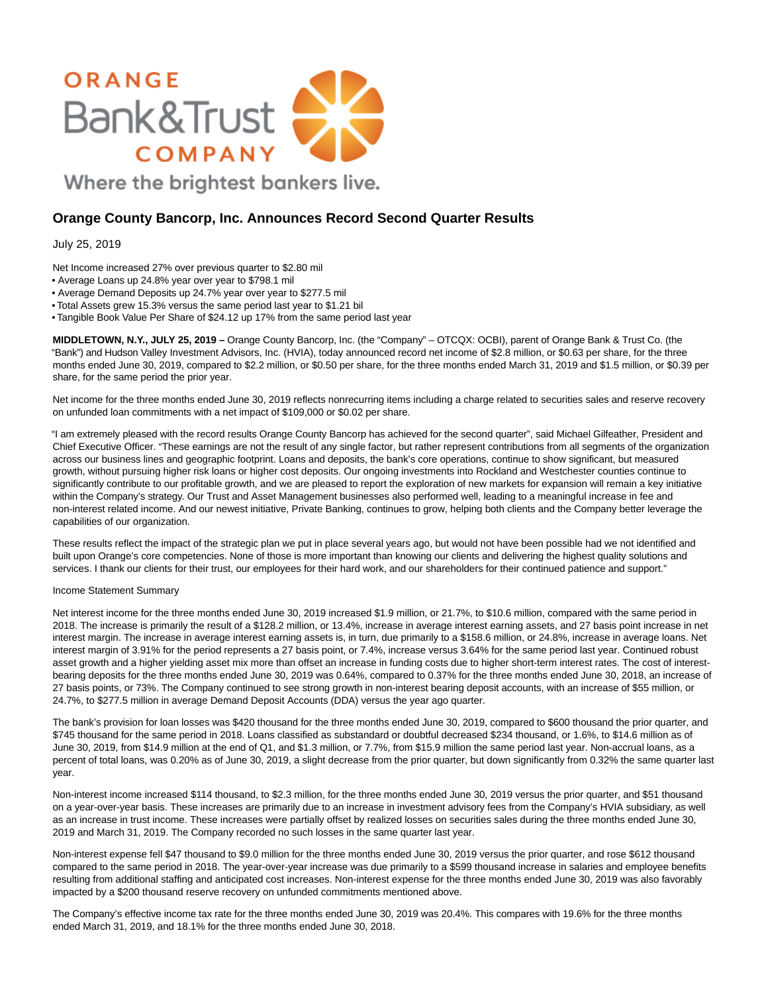

# **Orange County Bancorp, Inc. Announces Record Second Quarter Results**

## July 25, 2019

- Net Income increased 27% over previous quarter to \$2.80 mil
- Average Loans up 24.8% year over year to \$798.1 mil
- Average Demand Deposits up 24.7% year over year to \$277.5 mil
- Total Assets grew 15.3% versus the same period last year to \$1.21 bil
- Tangible Book Value Per Share of \$24.12 up 17% from the same period last year

**MIDDLETOWN, N.Y., JULY 25, 2019 –** Orange County Bancorp, Inc. (the "Company" – OTCQX: OCBI), parent of Orange Bank & Trust Co. (the "Bank") and Hudson Valley Investment Advisors, Inc. (HVIA), today announced record net income of \$2.8 million, or \$0.63 per share, for the three months ended June 30, 2019, compared to \$2.2 million, or \$0.50 per share, for the three months ended March 31, 2019 and \$1.5 million, or \$0.39 per share, for the same period the prior year.

Net income for the three months ended June 30, 2019 reflects nonrecurring items including a charge related to securities sales and reserve recovery on unfunded loan commitments with a net impact of \$109,000 or \$0.02 per share.

"I am extremely pleased with the record results Orange County Bancorp has achieved for the second quarter", said Michael Gilfeather, President and Chief Executive Officer. "These earnings are not the result of any single factor, but rather represent contributions from all segments of the organization across our business lines and geographic footprint. Loans and deposits, the bank's core operations, continue to show significant, but measured growth, without pursuing higher risk loans or higher cost deposits. Our ongoing investments into Rockland and Westchester counties continue to significantly contribute to our profitable growth, and we are pleased to report the exploration of new markets for expansion will remain a key initiative within the Company's strategy. Our Trust and Asset Management businesses also performed well, leading to a meaningful increase in fee and non-interest related income. And our newest initiative, Private Banking, continues to grow, helping both clients and the Company better leverage the capabilities of our organization.

These results reflect the impact of the strategic plan we put in place several years ago, but would not have been possible had we not identified and built upon Orange's core competencies. None of those is more important than knowing our clients and delivering the highest quality solutions and services. I thank our clients for their trust, our employees for their hard work, and our shareholders for their continued patience and support."

#### Income Statement Summary

Net interest income for the three months ended June 30, 2019 increased \$1.9 million, or 21.7%, to \$10.6 million, compared with the same period in 2018. The increase is primarily the result of a \$128.2 million, or 13.4%, increase in average interest earning assets, and 27 basis point increase in net interest margin. The increase in average interest earning assets is, in turn, due primarily to a \$158.6 million, or 24.8%, increase in average loans. Net interest margin of 3.91% for the period represents a 27 basis point, or 7.4%, increase versus 3.64% for the same period last year. Continued robust asset growth and a higher yielding asset mix more than offset an increase in funding costs due to higher short-term interest rates. The cost of interestbearing deposits for the three months ended June 30, 2019 was 0.64%, compared to 0.37% for the three months ended June 30, 2018, an increase of 27 basis points, or 73%. The Company continued to see strong growth in non-interest bearing deposit accounts, with an increase of \$55 million, or 24.7%, to \$277.5 million in average Demand Deposit Accounts (DDA) versus the year ago quarter.

The bank's provision for loan losses was \$420 thousand for the three months ended June 30, 2019, compared to \$600 thousand the prior quarter, and \$745 thousand for the same period in 2018. Loans classified as substandard or doubtful decreased \$234 thousand, or 1.6%, to \$14.6 million as of June 30, 2019, from \$14.9 million at the end of Q1, and \$1.3 million, or 7.7%, from \$15.9 million the same period last year. Non-accrual loans, as a percent of total loans, was 0.20% as of June 30, 2019, a slight decrease from the prior quarter, but down significantly from 0.32% the same quarter last year.

Non-interest income increased \$114 thousand, to \$2.3 million, for the three months ended June 30, 2019 versus the prior quarter, and \$51 thousand on a year-over-year basis. These increases are primarily due to an increase in investment advisory fees from the Company's HVIA subsidiary, as well as an increase in trust income. These increases were partially offset by realized losses on securities sales during the three months ended June 30, 2019 and March 31, 2019. The Company recorded no such losses in the same quarter last year.

Non-interest expense fell \$47 thousand to \$9.0 million for the three months ended June 30, 2019 versus the prior quarter, and rose \$612 thousand compared to the same period in 2018. The year-over-year increase was due primarily to a \$599 thousand increase in salaries and employee benefits resulting from additional staffing and anticipated cost increases. Non-interest expense for the three months ended June 30, 2019 was also favorably impacted by a \$200 thousand reserve recovery on unfunded commitments mentioned above.

The Company's effective income tax rate for the three months ended June 30, 2019 was 20.4%. This compares with 19.6% for the three months ended March 31, 2019, and 18.1% for the three months ended June 30, 2018.